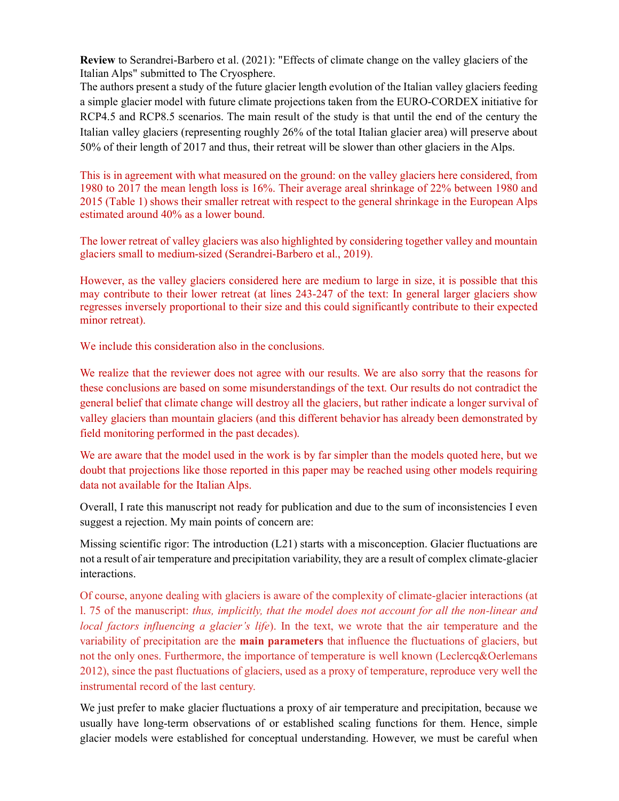Review to Serandrei-Barbero et al. (2021): "Effects of climate change on the valley glaciers of the Italian Alps" submitted to The Cryosphere.

The authors present a study of the future glacier length evolution of the Italian valley glaciers feeding a simple glacier model with future climate projections taken from the EURO-CORDEX initiative for RCP4.5 and RCP8.5 scenarios. The main result of the study is that until the end of the century the Italian valley glaciers (representing roughly 26% of the total Italian glacier area) will preserve about 50% of their length of 2017 and thus, their retreat will be slower than other glaciers in the Alps.

This is in agreement with what measured on the ground: on the valley glaciers here considered, from 1980 to 2017 the mean length loss is 16%. Their average areal shrinkage of 22% between 1980 and 2015 (Table 1) shows their smaller retreat with respect to the general shrinkage in the European Alps estimated around 40% as a lower bound.

The lower retreat of valley glaciers was also highlighted by considering together valley and mountain glaciers small to medium-sized (Serandrei-Barbero et al., 2019).

However, as the valley glaciers considered here are medium to large in size, it is possible that this may contribute to their lower retreat (at lines 243-247 of the text: In general larger glaciers show regresses inversely proportional to their size and this could significantly contribute to their expected minor retreat).

We include this consideration also in the conclusions.

We realize that the reviewer does not agree with our results. We are also sorry that the reasons for these conclusions are based on some misunderstandings of the text. Our results do not contradict the general belief that climate change will destroy all the glaciers, but rather indicate a longer survival of valley glaciers than mountain glaciers (and this different behavior has already been demonstrated by field monitoring performed in the past decades).

We are aware that the model used in the work is by far simpler than the models quoted here, but we doubt that projections like those reported in this paper may be reached using other models requiring data not available for the Italian Alps.

Overall, I rate this manuscript not ready for publication and due to the sum of inconsistencies I even suggest a rejection. My main points of concern are:

Missing scientific rigor: The introduction (L21) starts with a misconception. Glacier fluctuations are not a result of air temperature and precipitation variability, they are a result of complex climate-glacier interactions.

Of course, anyone dealing with glaciers is aware of the complexity of climate-glacier interactions (at l. 75 of the manuscript: thus, implicitly, that the model does not account for all the non-linear and local factors influencing a glacier's life). In the text, we wrote that the air temperature and the variability of precipitation are the **main parameters** that influence the fluctuations of glaciers, but not the only ones. Furthermore, the importance of temperature is well known (Leclercq&Oerlemans 2012), since the past fluctuations of glaciers, used as a proxy of temperature, reproduce very well the instrumental record of the last century.

We just prefer to make glacier fluctuations a proxy of air temperature and precipitation, because we usually have long-term observations of or established scaling functions for them. Hence, simple glacier models were established for conceptual understanding. However, we must be careful when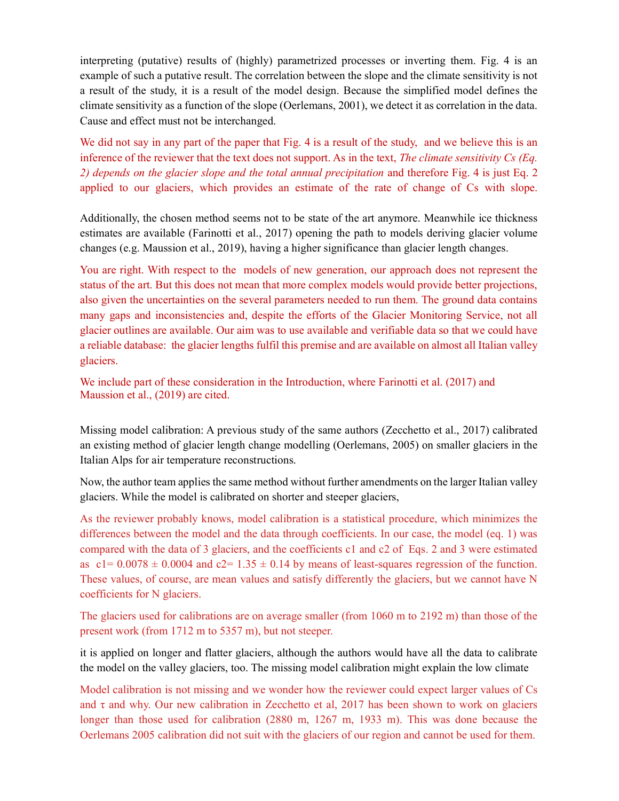interpreting (putative) results of (highly) parametrized processes or inverting them. Fig. 4 is an example of such a putative result. The correlation between the slope and the climate sensitivity is not a result of the study, it is a result of the model design. Because the simplified model defines the climate sensitivity as a function of the slope (Oerlemans, 2001), we detect it as correlation in the data. Cause and effect must not be interchanged.

We did not say in any part of the paper that Fig. 4 is a result of the study, and we believe this is an inference of the reviewer that the text does not support. As in the text, The climate sensitivity Cs (Eq. 2) depends on the glacier slope and the total annual precipitation and therefore Fig. 4 is just Eq. 2 applied to our glaciers, which provides an estimate of the rate of change of Cs with slope.

Additionally, the chosen method seems not to be state of the art anymore. Meanwhile ice thickness estimates are available (Farinotti et al., 2017) opening the path to models deriving glacier volume changes (e.g. Maussion et al., 2019), having a higher significance than glacier length changes.

You are right. With respect to the models of new generation, our approach does not represent the status of the art. But this does not mean that more complex models would provide better projections, also given the uncertainties on the several parameters needed to run them. The ground data contains many gaps and inconsistencies and, despite the efforts of the Glacier Monitoring Service, not all glacier outlines are available. Our aim was to use available and verifiable data so that we could have a reliable database: the glacier lengths fulfil this premise and are available on almost all Italian valley glaciers.

We include part of these consideration in the Introduction, where Farinotti et al. (2017) and Maussion et al., (2019) are cited.

Missing model calibration: A previous study of the same authors (Zecchetto et al., 2017) calibrated an existing method of glacier length change modelling (Oerlemans, 2005) on smaller glaciers in the Italian Alps for air temperature reconstructions.

Now, the author team applies the same method without further amendments on the larger Italian valley glaciers. While the model is calibrated on shorter and steeper glaciers,

As the reviewer probably knows, model calibration is a statistical procedure, which minimizes the differences between the model and the data through coefficients. In our case, the model (eq. 1) was compared with the data of 3 glaciers, and the coefficients c1 and c2 of Eqs. 2 and 3 were estimated as  $c1 = 0.0078 \pm 0.0004$  and  $c2 = 1.35 \pm 0.14$  by means of least-squares regression of the function. These values, of course, are mean values and satisfy differently the glaciers, but we cannot have N coefficients for N glaciers.

The glaciers used for calibrations are on average smaller (from 1060 m to 2192 m) than those of the present work (from 1712 m to 5357 m), but not steeper.

it is applied on longer and flatter glaciers, although the authors would have all the data to calibrate the model on the valley glaciers, too. The missing model calibration might explain the low climate

Model calibration is not missing and we wonder how the reviewer could expect larger values of Cs and  $\tau$  and why. Our new calibration in Zecchetto et al, 2017 has been shown to work on glaciers longer than those used for calibration (2880 m, 1267 m, 1933 m). This was done because the Oerlemans 2005 calibration did not suit with the glaciers of our region and cannot be used for them.